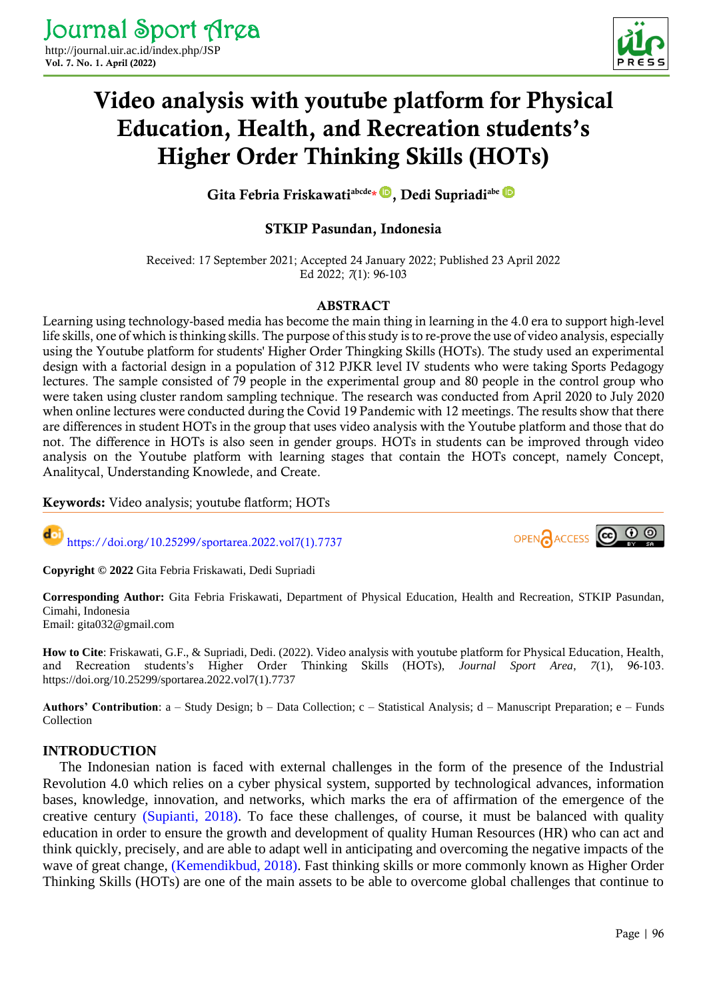

# Video analysis with youtube platform for Physical Education, Health, and Recreation students's Higher Order Thinking Skills (HOTs)

GitaFebria Friskawati<sup>abcde</sup>\*<sup>D</sup>, Dedi Supriadi<sup>abe</sup>

# STKIP Pasundan, Indonesia

Received: 17 September 2021; Accepted 24 January 2022; Published 23 April 2022 Ed 2022; *7*(1): 96-103

## ABSTRACT

Learning using technology-based media has become the main thing in learning in the 4.0 era to support high-level life skills, one of which is thinking skills. The purpose of this study is to re-prove the use of video analysis, especially using the Youtube platform for students' Higher Order Thingking Skills (HOTs). The study used an experimental design with a factorial design in a population of 312 PJKR level IV students who were taking Sports Pedagogy lectures. The sample consisted of 79 people in the experimental group and 80 people in the control group who were taken using cluster random sampling technique. The research was conducted from April 2020 to July 2020 when online lectures were conducted during the Covid 19 Pandemic with 12 meetings. The results show that there are differences in student HOTs in the group that uses video analysis with the Youtube platform and those that do not. The difference in HOTs is also seen in gender groups. HOTs in students can be improved through video analysis on the Youtube platform with learning stages that contain the HOTs concept, namely Concept, Analitycal, Understanding Knowlede, and Create.

Keywords: Video analysis; youtube flatform; HOTs

doi [https://doi.org/10.25299/sportarea.2022.vol7\(1\).7737](https://doi.org/10.25299/sportarea.2022.vol7(1).7737)



**Copyright © 2022** Gita Febria Friskawati, Dedi Supriadi

**Corresponding Author:** Gita Febria Friskawati, Department of Physical Education, Health and Recreation, STKIP Pasundan, Cimahi, Indonesia Email: gita032@gmail.com

**How to Cite**: Friskawati, G.F., & Supriadi, Dedi. (2022). Video analysis with youtube platform for Physical Education, Health, and Recreation students's Higher Order Thinking Skills (HOTs), *Journal Sport Area*, *7*(1), 96-103. https://doi.org/10.25299/sportarea.2022.vol7(1).7737

**Authors' Contribution**: a – Study Design; b – Data Collection; c – Statistical Analysis; d – Manuscript Preparation; e – Funds Collection

# **INTRODUCTION**

The Indonesian nation is faced with external challenges in the form of the presence of the Industrial Revolution 4.0 which relies on a cyber physical system, supported by technological advances, information bases, knowledge, innovation, and networks, which marks the era of affirmation of the emergence of the creative century [\(Supianti, 2018\).](#page-7-0) To face these challenges, of course, it must be balanced with quality education in order to ensure the growth and development of quality Human Resources (HR) who can act and think quickly, precisely, and are able to adapt well in anticipating and overcoming the negative impacts of the wave of great change, [\(Kemendikbud, 2018\).](#page-6-0) Fast thinking skills or more commonly known as Higher Order Thinking Skills (HOTs) are one of the main assets to be able to overcome global challenges that continue to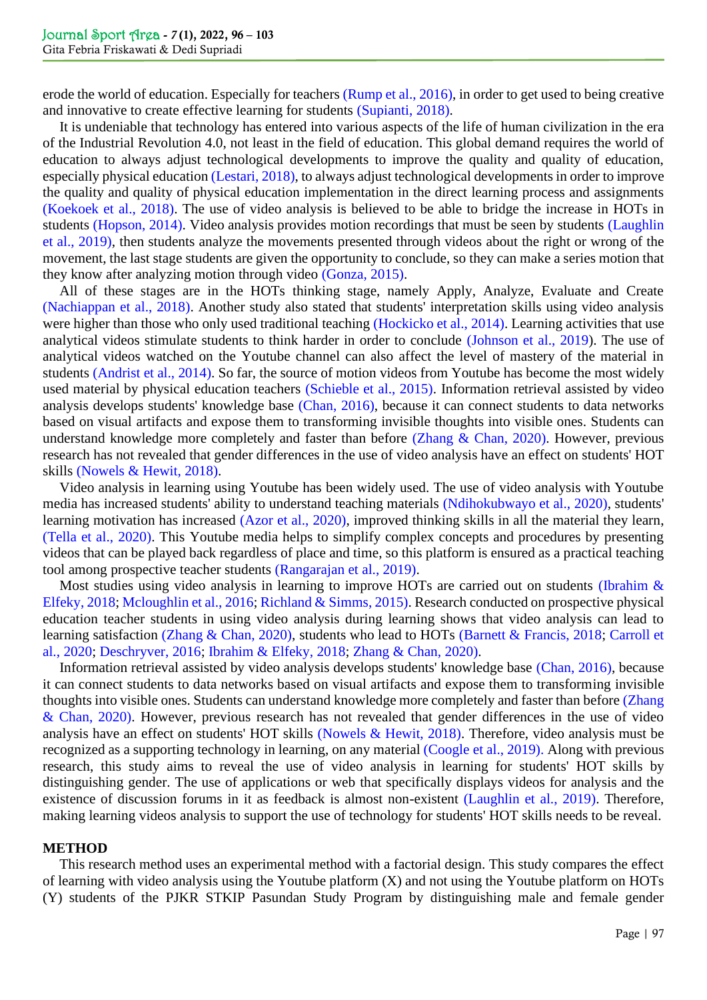erode the world of education. Especially for teachers [\(Rump et al., 2016\),](#page-7-1) in order to get used to being creative and innovative to create effective learning for students [\(Supianti, 2018\).](#page-7-0)

It is undeniable that technology has entered into various aspects of the life of human civilization in the era of the Industrial Revolution 4.0, not least in the field of education. This global demand requires the world of education to always adjust technological developments to improve the quality and quality of education, especially physical educatio[n \(Lestari, 2018\),](#page-6-1) to always adjust technological developments in order to improve the quality and quality of physical education implementation in the direct learning process and assignments [\(Koekoek et al., 2018\).](#page-6-2) The use of video analysis is believed to be able to bridge the increase in HOTs in students [\(Hopson, 2014\).](#page-5-0) Video analysis provides motion recordings that must be seen by students [\(Laughlin](#page-6-3)  et al., 2019), then students analyze the movements presented through videos about the right or wrong of the movement, the last stage students are given the opportunity to conclude, so they can make a series motion that they know after analyzing motion through video [\(Gonza, 2015\).](#page-5-1)

All of these stages are in the HOTs thinking stage, namely Apply, Analyze, Evaluate and Create [\(Nachiappan et al., 2018\).](#page-6-4) Another study also stated that students' interpretation skills using video analysis were higher than those who only used traditional teaching [\(Hockicko et al., 2014\).](#page-5-2) Learning activities that use analytical videos stimulate students to think harder in order to conclude [\(Johnson et al., 2019\)](#page-5-3). The use of analytical videos watched on the Youtube channel can also affect the level of mastery of the material in students [\(Andrist et al., 2014\).](#page-4-0) So far, the source of motion videos from Youtube has become the most widely used material by physical education teachers [\(Schieble et al., 2015\).](#page-7-2) Information retrieval assisted by video analysis develops students' knowledge base [\(Chan, 2016\),](#page-5-4) because it can connect students to data networks based on visual artifacts and expose them to transforming invisible thoughts into visible ones. Students can understand knowledge more completely and faster than before [\(Zhang & Chan, 2020\).](#page-7-3) However, previous research has not revealed that gender differences in the use of video analysis have an effect on students' HOT skills [\(Nowels & Hewit, 2018\).](#page-6-5)

Video analysis in learning using Youtube has been widely used. The use of video analysis with Youtube media has increased students' ability to understand teaching materials [\(Ndihokubwayo et al., 2020\),](#page-6-6) students' learning motivation has increased [\(Azor et al., 2020\),](#page-4-1) improved thinking skills in all the material they learn, [\(Tella et al., 2020\).](#page-7-4) This Youtube media helps to simplify complex concepts and procedures by presenting videos that can be played back regardless of place and time, so this platform is ensured as a practical teaching tool among prospective teacher students [\(Rangarajan et al., 2019\).](#page-6-7)

Most studies using video analysis in learning to improve HOTs are carried out on students (Ibrahim & [Elfeky, 2018;](#page-5-5) [Mcloughlin et al., 2016;](#page-6-8) [Richland & Simms, 2015\).](#page-7-5) Research conducted on prospective physical education teacher students in using video analysis during learning shows that video analysis can lead to learning satisfaction [\(Zhang & Chan, 2020\),](#page-7-3) students who lead to HOTs [\(Barnett & Francis, 2018;](#page-4-2) [Carroll et](#page-5-6)  [al., 2020;](#page-5-6) [Deschryver, 2016;](#page-5-7) [Ibrahim & Elfeky, 2018;](#page-5-5) [Zhang & Chan, 2020\).](#page-7-3)

Information retrieval assisted by video analysis develops students' knowledge base [\(Chan, 2016\),](#page-5-4) because it can connect students to data networks based on visual artifacts and expose them to transforming invisible thoughts into visible ones. Students can understand knowledge more completely and faster than befor[e \(Zhang](#page-7-3)  & Chan, 2020). However, previous research has not revealed that gender differences in the use of video analysis have an effect on students' HOT skills [\(Nowels & Hewit, 2018\).](#page-6-5) Therefore, video analysis must be recognized as a supporting technology in learning, on any material [\(Coogle et al., 2019\).](#page-5-8) Along with previous research, this study aims to reveal the use of video analysis in learning for students' HOT skills by distinguishing gender. The use of applications or web that specifically displays videos for analysis and the existence of discussion forums in it as feedback is almost non-existent [\(Laughlin et al., 2019\).](#page-6-9) Therefore, making learning videos analysis to support the use of technology for students' HOT skills needs to be reveal.

#### **METHOD**

This research method uses an experimental method with a factorial design. This study compares the effect of learning with video analysis using the Youtube platform (X) and not using the Youtube platform on HOTs (Y) students of the PJKR STKIP Pasundan Study Program by distinguishing male and female gender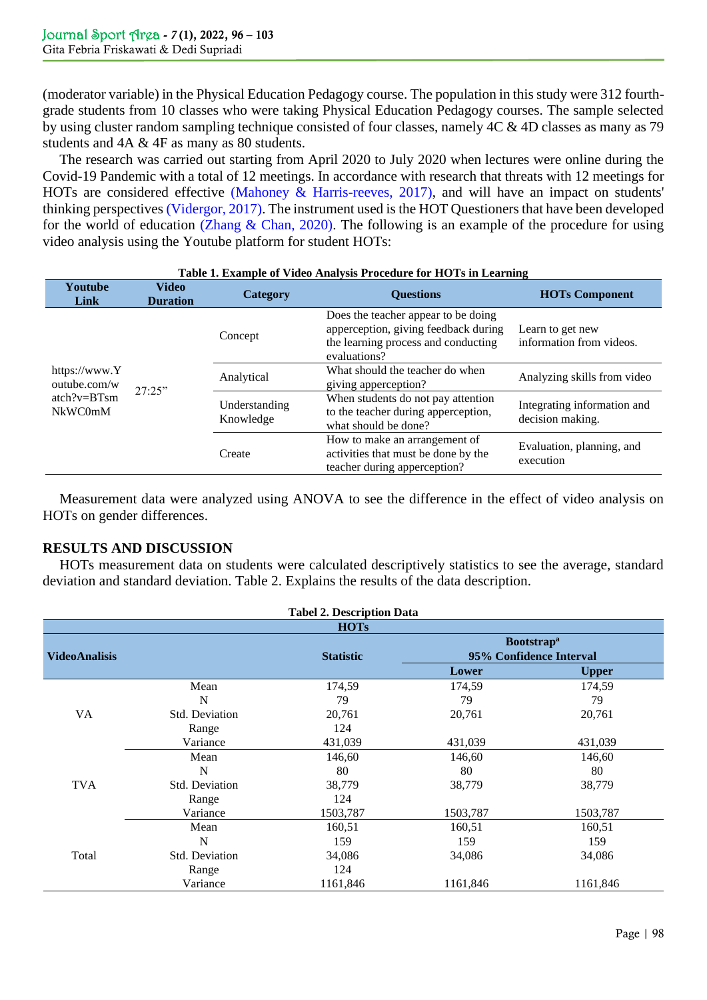(moderator variable) in the Physical Education Pedagogy course. The population in this study were 312 fourthgrade students from 10 classes who were taking Physical Education Pedagogy courses. The sample selected by using cluster random sampling technique consisted of four classes, namely 4C & 4D classes as many as 79 students and 4A & 4F as many as 80 students.

The research was carried out starting from April 2020 to July 2020 when lectures were online during the Covid-19 Pandemic with a total of 12 meetings. In accordance with research that threats with 12 meetings for HOTs are considered effective [\(Mahoney & Harris-reeves, 2017\),](#page-6-10) and will have an impact on students' thinking perspectives [\(Vidergor, 2017\).](#page-7-6) The instrument used is the HOT Questioners that have been developed for the world of education [\(Zhang & Chan, 2020\).](#page-7-3) The following is an example of the procedure for using video analysis using the Youtube platform for student HOTs:

| Table 1. Example of Video Analysis Procedure for HOTs in Learning  |                                 |                            |                                                                                                                                    |                                                 |  |  |  |  |  |
|--------------------------------------------------------------------|---------------------------------|----------------------------|------------------------------------------------------------------------------------------------------------------------------------|-------------------------------------------------|--|--|--|--|--|
| Youtube<br>Link                                                    | <b>Video</b><br><b>Duration</b> | Category                   | <b>Ouestions</b>                                                                                                                   | <b>HOTs Component</b>                           |  |  |  |  |  |
| https://www.Y<br>outube.com/w<br>$atch?v = BTsm$<br><b>NkWC0mM</b> | 27:25"                          | Concept                    | Does the teacher appear to be doing<br>apperception, giving feedback during<br>the learning process and conducting<br>evaluations? | Learn to get new<br>information from videos.    |  |  |  |  |  |
|                                                                    |                                 | Analytical                 | What should the teacher do when<br>giving apperception?                                                                            | Analyzing skills from video                     |  |  |  |  |  |
|                                                                    |                                 | Understanding<br>Knowledge | When students do not pay attention<br>to the teacher during apperception,<br>what should be done?                                  | Integrating information and<br>decision making. |  |  |  |  |  |
|                                                                    |                                 | Create                     | How to make an arrangement of<br>activities that must be done by the<br>teacher during apperception?                               | Evaluation, planning, and<br>execution          |  |  |  |  |  |

Measurement data were analyzed using ANOVA to see the difference in the effect of video analysis on HOTs on gender differences.

# **RESULTS AND DISCUSSION**

HOTs measurement data on students were calculated descriptively statistics to see the average, standard deviation and standard deviation. Table 2. Explains the results of the data description.

| <b>Tabel 2. Description Data</b> |                       |                  |                               |              |  |  |  |  |  |  |
|----------------------------------|-----------------------|------------------|-------------------------------|--------------|--|--|--|--|--|--|
| <b>HOTs</b>                      |                       |                  |                               |              |  |  |  |  |  |  |
|                                  |                       |                  | <b>Bootstrap</b> <sup>a</sup> |              |  |  |  |  |  |  |
| <b>VideoAnalisis</b>             |                       | <b>Statistic</b> | 95% Confidence Interval       |              |  |  |  |  |  |  |
|                                  |                       |                  | Lower                         | <b>Upper</b> |  |  |  |  |  |  |
|                                  | Mean                  | 174,59           | 174,59                        | 174,59       |  |  |  |  |  |  |
|                                  | N                     | 79               | 79                            | 79           |  |  |  |  |  |  |
| <b>VA</b>                        | <b>Std. Deviation</b> | 20,761           | 20,761                        | 20,761       |  |  |  |  |  |  |
|                                  | Range                 | 124              |                               |              |  |  |  |  |  |  |
|                                  | Variance              | 431,039          | 431,039                       | 431,039      |  |  |  |  |  |  |
|                                  | Mean                  | 146,60           | 146,60                        | 146,60       |  |  |  |  |  |  |
|                                  | N                     | 80               | 80                            | 80           |  |  |  |  |  |  |
| <b>TVA</b>                       | <b>Std. Deviation</b> | 38,779           | 38,779                        | 38,779       |  |  |  |  |  |  |
|                                  | Range                 | 124              |                               |              |  |  |  |  |  |  |
|                                  | Variance              | 1503,787         | 1503,787                      | 1503,787     |  |  |  |  |  |  |
|                                  | Mean                  | 160,51           | 160,51                        | 160,51       |  |  |  |  |  |  |
|                                  | N                     | 159              | 159                           | 159          |  |  |  |  |  |  |
| Total                            | <b>Std. Deviation</b> | 34,086           | 34,086                        | 34,086       |  |  |  |  |  |  |
|                                  | Range                 | 124              |                               |              |  |  |  |  |  |  |
|                                  | Variance              | 1161,846         | 1161,846                      | 1161,846     |  |  |  |  |  |  |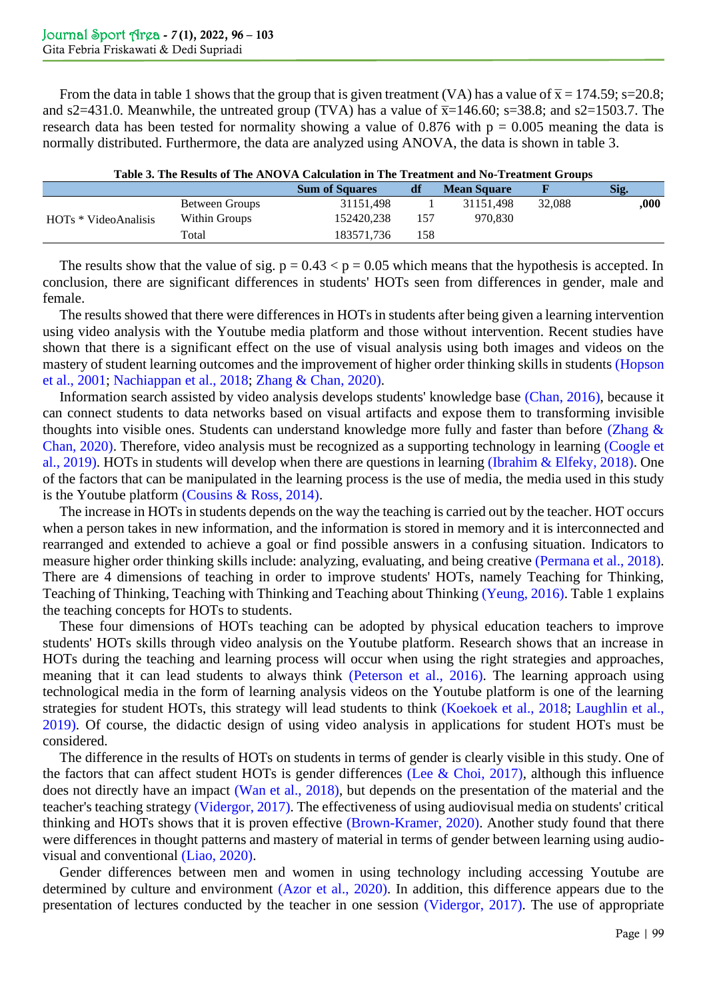From the data in table 1 shows that the group that is given treatment (VA) has a value of  $\bar{x}$  = 174.59; s=20.8; and s2=431.0. Meanwhile, the untreated group (TVA) has a value of  $\overline{x}$ =146.60; s=38.8; and s2=1503.7. The research data has been tested for normality showing a value of 0.876 with  $p = 0.005$  meaning the data is normally distributed. Furthermore, the data are analyzed using ANOVA, the data is shown in table 3.

| Table 3. The Results of The ANOVA Calculation in The Treatment and No-Treatment Groups |                |                       |     |                    |        |      |
|----------------------------------------------------------------------------------------|----------------|-----------------------|-----|--------------------|--------|------|
|                                                                                        |                | <b>Sum of Squares</b> | df  | <b>Mean Square</b> |        | Sig. |
| HOTs * VideoAnalisis                                                                   | Between Groups | 31151.498             |     | 31151.498          | 32,088 | .000 |
|                                                                                        | Within Groups  | 152420.238            | 157 | 970.830            |        |      |
|                                                                                        | Total          | 183571.736            | 158 |                    |        |      |

**Table 3. The Results of The ANOVA Calculation in The Treatment and No-Treatment Groups**

The results show that the value of sig.  $p = 0.43 < p = 0.05$  which means that the hypothesis is accepted. In conclusion, there are significant differences in students' HOTs seen from differences in gender, male and female.

The results showed that there were differences in HOTs in students after being given a learning intervention using video analysis with the Youtube media platform and those without intervention. Recent studies have shown that there is a significant effect on the use of visual analysis using both images and videos on the mastery of student learning outcomes and the improvement of higher order thinking skills in students [\(Hopson](#page-5-9)  [et al., 2001;](#page-5-9) [Nachiappan et al., 2018;](#page-6-4) [Zhang & Chan, 2020\).](#page-7-3)

Information search assisted by video analysis develops students' knowledge base [\(Chan, 2016\),](#page-5-4) because it can connect students to data networks based on visual artifacts and expose them to transforming invisible thoughts into visible ones. Students can understand knowledge more fully and faster than before (Zhang  $\&$ Chan, 2020). Therefore, video analysis must be recognized as a supporting technology in learning [\(Coogle et](#page-5-8)  al., 2019). HOTs in students will develop when there are questions in learning [\(Ibrahim & Elfeky,](#page-5-5) 2018). One of the factors that can be manipulated in the learning process is the use of media, the media used in this study is the Youtube platform (Cousins  $& Ross, 2014$ ).

The increase in HOTs in students depends on the way the teaching is carried out by the teacher. HOT occurs when a person takes in new information, and the information is stored in memory and it is interconnected and rearranged and extended to achieve a goal or find possible answers in a confusing situation. Indicators to measure higher order thinking skills include: analyzing, evaluating, and being creative [\(Permana et al., 2018\).](#page-6-11) There are 4 dimensions of teaching in order to improve students' HOTs, namely Teaching for Thinking, Teaching of Thinking, Teaching with Thinking and Teaching about Thinking [\(Yeung, 2016\).](#page-7-7) Table 1 explains the teaching concepts for HOTs to students.

These four dimensions of HOTs teaching can be adopted by physical education teachers to improve students' HOTs skills through video analysis on the Youtube platform. Research shows that an increase in HOTs during the teaching and learning process will occur when using the right strategies and approaches, meaning that it can lead students to always think [\(Peterson et al., 2016\).](#page-6-12) The learning approach using technological media in the form of learning analysis videos on the Youtube platform is one of the learning strategies for student HOTs, this strategy will lead students to think [\(Koekoek et al., 2018;](#page-6-2) [Laughlin et al.,](#page-6-3)  [2019\).](#page-6-3) Of course, the didactic design of using video analysis in applications for student HOTs must be considered.

The difference in the results of HOTs on students in terms of gender is clearly visible in this study. One of the factors that can affect student HOTs is gender differences (Lee  $& Choi, 2017$ ), although this influence does not directly have an impact [\(Wan et al., 2018\),](#page-7-8) but depends on the presentation of the material and the teacher's teaching strategy [\(Vidergor, 2017\).](#page-7-6) The effectiveness of using audiovisual media on students' critical thinking and HOTs shows that it is proven effective [\(Brown-Kramer, 2020\).](#page-5-11) Another study found that there were differences in thought patterns and mastery of material in terms of gender between learning using audiovisual and conventional [\(Liao, 2020\).](#page-6-14)

Gender differences between men and women in using technology including accessing Youtube are determined by culture and environment [\(Azor et al., 2020\).](#page-4-1) In addition, this difference appears due to the presentation of lectures conducted by the teacher in one session [\(Vidergor, 2017\).](#page-7-6) The use of appropriate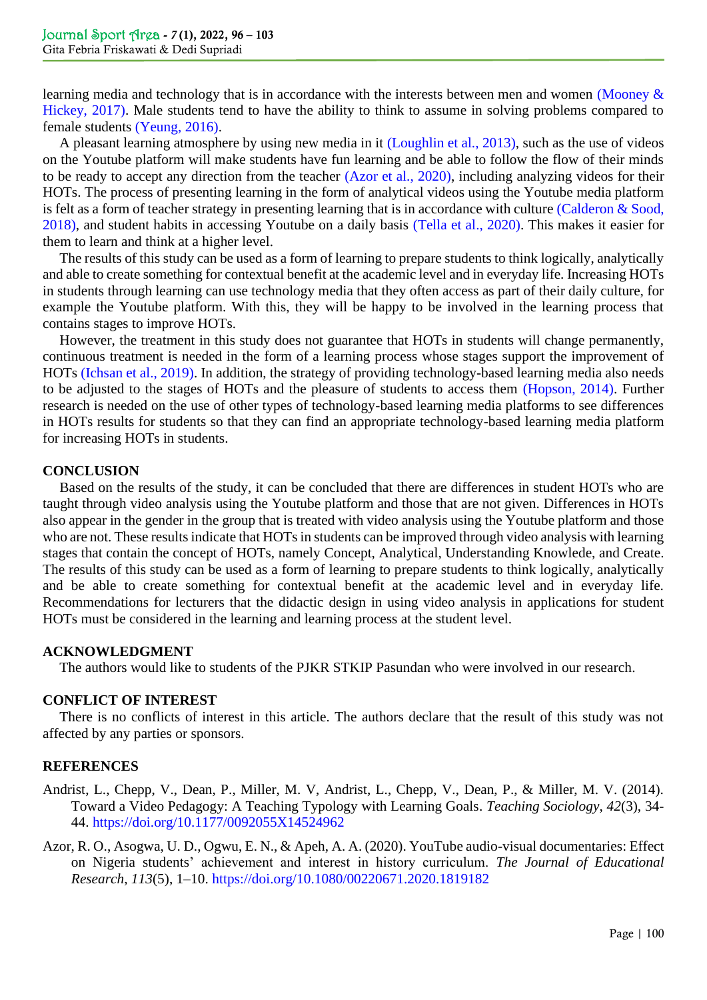learning media and technology that is in accordance with the interests between men and women (Mooney & Hickey, 2017). Male students tend to have the ability to think to assume in solving problems compared to female students [\(Yeung, 2016\).](#page-7-7)

A pleasant learning atmosphere by using new media in it [\(Loughlin et al., 2013\),](#page-6-9) such as the use of videos on the Youtube platform will make students have fun learning and be able to follow the flow of their minds to be ready to accept any direction from the teacher [\(Azor et al., 2020\),](#page-4-1) including analyzing videos for their HOTs. The process of presenting learning in the form of analytical videos using the Youtube media platform is felt as a form of teacher strategy in presenting learning that is in accordance with culture [\(Calderon & Sood,](#page-5-12)  2018), and student habits in accessing Youtube on a daily basis [\(Tella et al., 2020\).](#page-7-4) This makes it easier for them to learn and think at a higher level.

The results of this study can be used as a form of learning to prepare students to think logically, analytically and able to create something for contextual benefit at the academic level and in everyday life. Increasing HOTs in students through learning can use technology media that they often access as part of their daily culture, for example the Youtube platform. With this, they will be happy to be involved in the learning process that contains stages to improve HOTs.

However, the treatment in this study does not guarantee that HOTs in students will change permanently, continuous treatment is needed in the form of a learning process whose stages support the improvement of HOTs [\(Ichsan et al., 2019\).](#page-5-13) In addition, the strategy of providing technology-based learning media also needs to be adjusted to the stages of HOTs and the pleasure of students to access them [\(Hopson, 2014\).](#page-5-0) Further research is needed on the use of other types of technology-based learning media platforms to see differences in HOTs results for students so that they can find an appropriate technology-based learning media platform for increasing HOTs in students.

## **CONCLUSION**

Based on the results of the study, it can be concluded that there are differences in student HOTs who are taught through video analysis using the Youtube platform and those that are not given. Differences in HOTs also appear in the gender in the group that is treated with video analysis using the Youtube platform and those who are not. These results indicate that HOTs in students can be improved through video analysis with learning stages that contain the concept of HOTs, namely Concept, Analytical, Understanding Knowlede, and Create. The results of this study can be used as a form of learning to prepare students to think logically, analytically and be able to create something for contextual benefit at the academic level and in everyday life. Recommendations for lecturers that the didactic design in using video analysis in applications for student HOTs must be considered in the learning and learning process at the student level.

#### **ACKNOWLEDGMENT**

The authors would like to students of the PJKR STKIP Pasundan who were involved in our research.

## **CONFLICT OF INTEREST**

There is no conflicts of interest in this article. The authors declare that the result of this study was not affected by any parties or sponsors.

#### **REFERENCES**

- <span id="page-4-0"></span>Andrist, L., Chepp, V., Dean, P., Miller, M. V, Andrist, L., Chepp, V., Dean, P., & Miller, M. V. (2014). Toward a Video Pedagogy: A Teaching Typology with Learning Goals. *Teaching Sociology*, *42*(3), 34- 44.<https://doi.org/10.1177/0092055X14524962>
- <span id="page-4-2"></span><span id="page-4-1"></span>Azor, R. O., Asogwa, U. D., Ogwu, E. N., & Apeh, A. A. (2020). YouTube audio-visual documentaries: Effect on Nigeria students' achievement and interest in history curriculum. *The Journal of Educational Research*, *113*(5), 1–10.<https://doi.org/10.1080/00220671.2020.1819182>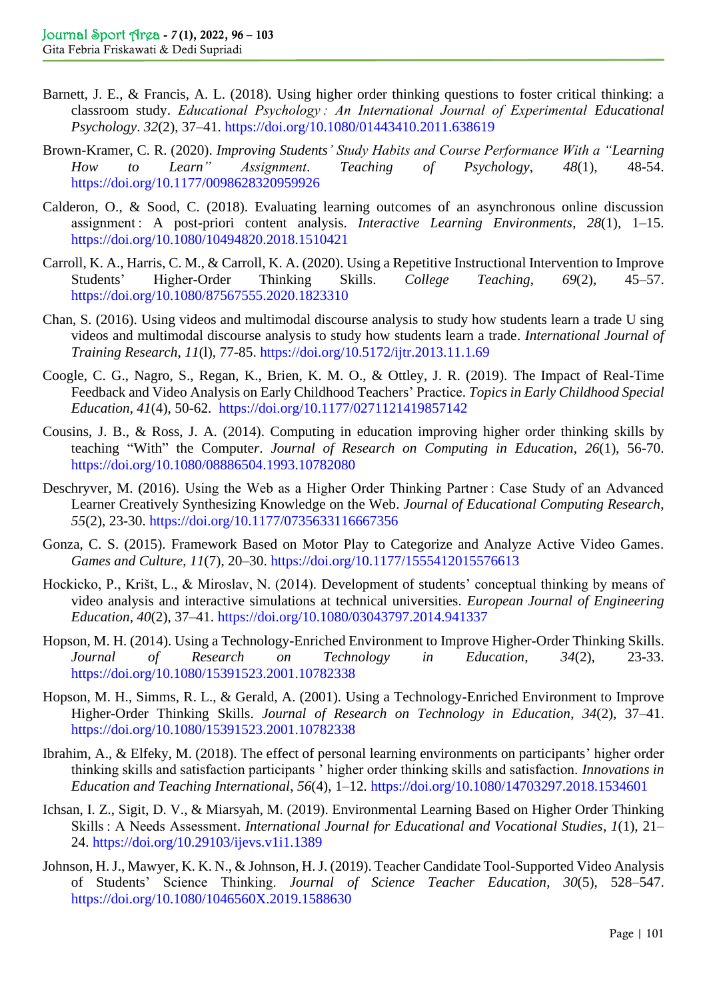- Barnett, J. E., & Francis, A. L. (2018). Using higher order thinking questions to foster critical thinking: a classroom study. *Educational Psychology : An International Journal of Experimental Educational Psychology*. *32*(2), 37–41. <https://doi.org/10.1080/01443410.2011.638619>
- <span id="page-5-11"></span>Brown-Kramer, C. R. (2020). *Improving Students' Study Habits and Course Performance With a "Learning How to Learn" Assignment*. *Teaching of Psychology*, *48*(1), 48-54. <https://doi.org/10.1177/0098628320959926>
- <span id="page-5-12"></span>Calderon, O., & Sood, C. (2018). Evaluating learning outcomes of an asynchronous online discussion assignment : A post-priori content analysis. *Interactive Learning Environments*, *28*(1), 1–15. <https://doi.org/10.1080/10494820.2018.1510421>
- <span id="page-5-6"></span>Carroll, K. A., Harris, C. M., & Carroll, K. A. (2020). Using a Repetitive Instructional Intervention to Improve Students' Higher-Order Thinking Skills. *College Teaching*, *69*(2), 45–57. <https://doi.org/10.1080/87567555.2020.1823310>
- <span id="page-5-4"></span>Chan, S. (2016). Using videos and multimodal discourse analysis to study how students learn a trade U sing videos and multimodal discourse analysis to study how students learn a trade. *International Journal of Training Research*, *11*(l), 77-85.<https://doi.org/10.5172/ijtr.2013.11.1.69>
- <span id="page-5-8"></span>Coogle, C. G., Nagro, S., Regan, K., Brien, K. M. O., & Ottley, J. R. (2019). The Impact of Real-Time Feedback and Video Analysis on Early Childhood Teachers' Practice. *Topics in Early Childhood Special Education*, *41*(4), 50-62. <https://doi.org/10.1177/0271121419857142>
- <span id="page-5-10"></span>Cousins, J. B., & Ross, J. A. (2014). Computing in education improving higher order thinking skills by teaching "With" the Compute*r*. *Journal of Research on Computing in Education*, *26*(1), 56-70. <https://doi.org/10.1080/08886504.1993.10782080>
- <span id="page-5-7"></span>Deschryver, M. (2016). Using the Web as a Higher Order Thinking Partner : Case Study of an Advanced Learner Creatively Synthesizing Knowledge on the Web. *Journal of Educational Computing Research*, *55*(2), 23-30. <https://doi.org/10.1177/0735633116667356>
- <span id="page-5-1"></span>Gonza, C. S. (2015). Framework Based on Motor Play to Categorize and Analyze Active Video Games. *Games and Culture*, *11*(7), 20–30.<https://doi.org/10.1177/1555412015576613>
- <span id="page-5-2"></span>Hockicko, P., Krišt, L., & Miroslav, N. (2014). Development of students' conceptual thinking by means of video analysis and interactive simulations at technical universities. *European Journal of Engineering Education*, *40*(2), 37–41.<https://doi.org/10.1080/03043797.2014.941337>
- <span id="page-5-0"></span>Hopson, M. H. (2014). Using a Technology-Enriched Environment to Improve Higher-Order Thinking Skills. *Journal of Research on Technology in Education, 34*(2)*,* 23-33. <https://doi.org/10.1080/15391523.2001.10782338>
- <span id="page-5-9"></span>Hopson, M. H., Simms, R. L., & Gerald, A. (2001). Using a Technology-Enriched Environment to Improve Higher-Order Thinking Skills. *Journal of Research on Technology in Education*, *34*(2), 37–41. <https://doi.org/10.1080/15391523.2001.10782338>
- <span id="page-5-5"></span>Ibrahim, A., & Elfeky, M. (2018). The effect of personal learning environments on participants' higher order thinking skills and satisfaction participants ' higher order thinking skills and satisfaction. *Innovations in Education and Teaching International*, *56*(4), 1–12.<https://doi.org/10.1080/14703297.2018.1534601>
- <span id="page-5-13"></span>Ichsan, I. Z., Sigit, D. V., & Miarsyah, M. (2019). Environmental Learning Based on Higher Order Thinking Skills : A Needs Assessment. *International Journal for Educational and Vocational Studies*, *1*(1), 21– 24. <https://doi.org/10.29103/ijevs.v1i1.1389>
- <span id="page-5-3"></span>Johnson, H. J., Mawyer, K. K. N., & Johnson, H. J. (2019). Teacher Candidate Tool-Supported Video Analysis of Students' Science Thinking. *Journal of Science Teacher Education*, *30*(5), 528–547. <https://doi.org/10.1080/1046560X.2019.1588630>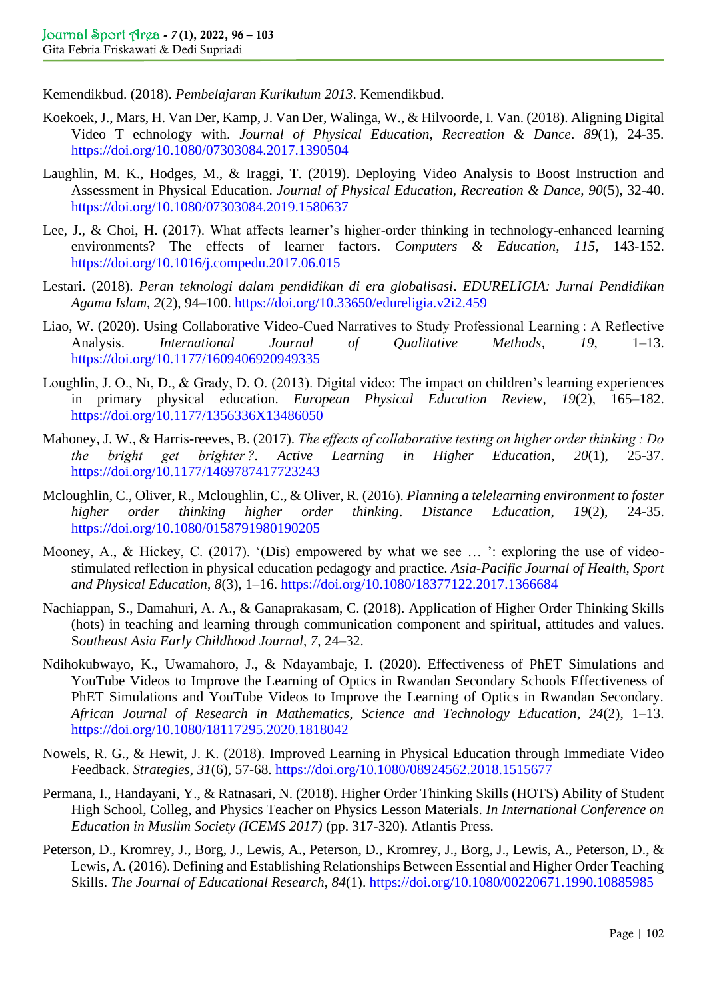<span id="page-6-0"></span>Kemendikbud. (2018). *Pembelajaran Kurikulum 2013*. Kemendikbud.

- <span id="page-6-2"></span>Koekoek, J., Mars, H. Van Der, Kamp, J. Van Der, Walinga, W., & Hilvoorde, I. Van. (2018). Aligning Digital Video T echnology with. *Journal of Physical Education, Recreation & Dance*. *89*(1), 24-35. <https://doi.org/10.1080/07303084.2017.1390504>
- <span id="page-6-3"></span>Laughlin, M. K., Hodges, M., & Iraggi, T. (2019). Deploying Video Analysis to Boost Instruction and Assessment in Physical Education. *Journal of Physical Education, Recreation & Dance, 90*(5), 32-40. <https://doi.org/10.1080/07303084.2019.1580637>
- <span id="page-6-13"></span>Lee, J., & Choi, H. (2017). What affects learner's higher-order thinking in technology-enhanced learning environments? The effects of learner factors. *Computers & Education, 115,* 143-152. <https://doi.org/10.1016/j.compedu.2017.06.015>
- <span id="page-6-1"></span>Lestari. (2018). *Peran teknologi dalam pendidikan di era globalisasi*. *EDURELIGIA: Jurnal Pendidikan Agama Islam*, *2*(2), 94–100. <https://doi.org/10.33650/edureligia.v2i2.459>
- <span id="page-6-14"></span>Liao, W. (2020). Using Collaborative Video-Cued Narratives to Study Professional Learning : A Reflective Analysis. *International Journal of Qualitative Methods, 19*, 1–13. <https://doi.org/10.1177/1609406920949335>
- <span id="page-6-9"></span>Loughlin, J. O., Nı, D., & Grady, D. O. (2013). Digital video: The impact on children's learning experiences in primary physical education. *European Physical Education Review*, *19*(2), 165–182[.](https://doi.org/10.1177/1356336X13486050) <https://doi.org/10.1177/1356336X13486050>
- Mahoney, J. W., & Harris-reeves, B. (2017). *The effects of collaborative testing on higher order thinking : Do the bright get brighter ?. Active Learning in Higher Education*, *20*(1), 25-37. <https://doi.org/10.1177/1469787417723243>
- <span id="page-6-8"></span>Mcloughlin, C., Oliver, R., Mcloughlin, C., & Oliver, R. (2016). *Planning a telelearning environment to foster higher order thinking higher order thinking*. *Distance Education*, *19*(2), 24-35. <https://doi.org/10.1080/0158791980190205>
- <span id="page-6-10"></span>Mooney, A., & Hickey, C. (2017). '(Dis) empowered by what we see ... ': exploring the use of videostimulated reflection in physical education pedagogy and practice. *Asia-Pacific Journal of Health, Sport and Physical Education*, *8*(3), 1–16. <https://doi.org/10.1080/18377122.2017.1366684>
- <span id="page-6-4"></span>Nachiappan, S., Damahuri, A. A., & Ganaprakasam, C. (2018). Application of Higher Order Thinking Skills (hots) in teaching and learning through communication component and spiritual, attitudes and values. S*outheast Asia Early Childhood Journal*, *7*, 24–32.
- <span id="page-6-6"></span>Ndihokubwayo, K., Uwamahoro, J., & Ndayambaje, I. (2020). Effectiveness of PhET Simulations and YouTube Videos to Improve the Learning of Optics in Rwandan Secondary Schools Effectiveness of PhET Simulations and YouTube Videos to Improve the Learning of Optics in Rwandan Secondary. *African Journal of Research in Mathematics, Science and Technology Education*, *24*(2), 1–13. <https://doi.org/10.1080/18117295.2020.1818042>
- <span id="page-6-5"></span>Nowels, R. G., & Hewit, J. K. (2018). Improved Learning in Physical Education through Immediate Video Feedback. *Strategies, 31*(6), 57-68.<https://doi.org/10.1080/08924562.2018.1515677>
- <span id="page-6-11"></span>Permana, I., Handayani, Y., & Ratnasari, N. (2018). Higher Order Thinking Skills (HOTS) Ability of Student High School, Colleg, and Physics Teacher on Physics Lesson Materials. *In International Conference on Education in Muslim Society (ICEMS 2017)* (pp. 317-320). Atlantis Press.
- <span id="page-6-12"></span><span id="page-6-7"></span>Peterson, D., Kromrey, J., Borg, J., Lewis, A., Peterson, D., Kromrey, J., Borg, J., Lewis, A., Peterson, D., & Lewis, A. (2016). Defining and Establishing Relationships Between Essential and Higher Order Teaching Skills. *The Journal of Educational Research*, *84*(1).<https://doi.org/10.1080/00220671.1990.10885985>